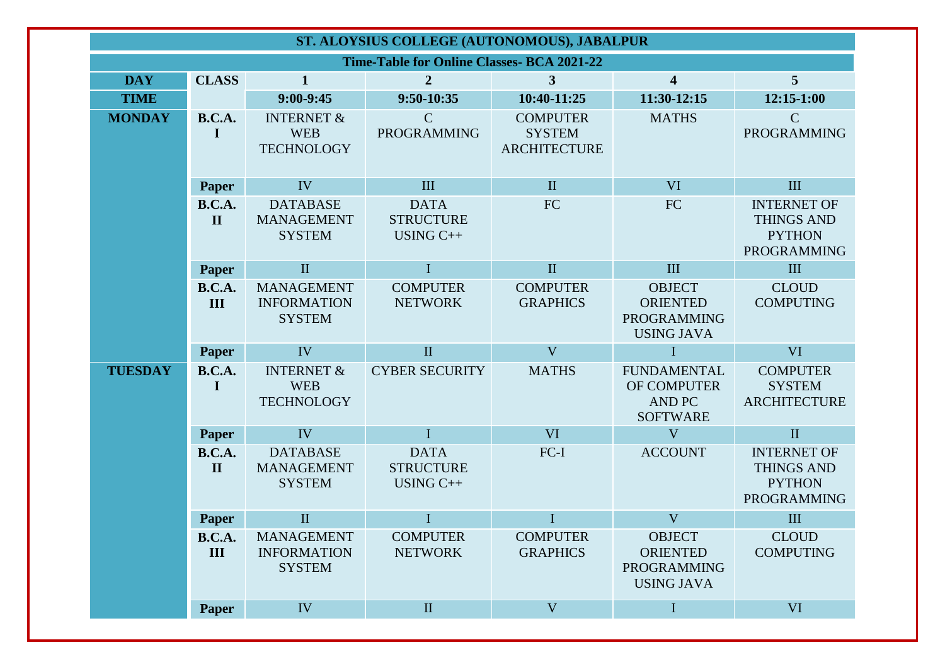| ST. ALOYSIUS COLLEGE (AUTONOMOUS), JABALPUR       |                               |                                                          |                                                |                                                         |                                                                             |                                                                         |  |  |
|---------------------------------------------------|-------------------------------|----------------------------------------------------------|------------------------------------------------|---------------------------------------------------------|-----------------------------------------------------------------------------|-------------------------------------------------------------------------|--|--|
| <b>Time-Table for Online Classes- BCA 2021-22</b> |                               |                                                          |                                                |                                                         |                                                                             |                                                                         |  |  |
| <b>DAY</b>                                        | <b>CLASS</b>                  | $\mathbf{1}$                                             | $\overline{2}$                                 | $\mathbf{3}$                                            | $\overline{\mathbf{4}}$                                                     | 5                                                                       |  |  |
| <b>TIME</b>                                       |                               | $9:00-9:45$                                              | 9:50-10:35                                     | 10:40-11:25                                             | 11:30-12:15                                                                 | $12:15-1:00$                                                            |  |  |
| <b>MONDAY</b>                                     | <b>B.C.A.</b><br>I            | <b>INTERNET &amp;</b><br><b>WEB</b><br><b>TECHNOLOGY</b> | $\mathsf{C}$<br>PROGRAMMING                    | <b>COMPUTER</b><br><b>SYSTEM</b><br><b>ARCHITECTURE</b> | <b>MATHS</b>                                                                | $\mathcal{C}$<br><b>PROGRAMMING</b>                                     |  |  |
|                                                   | <b>Paper</b>                  | IV                                                       | III                                            | $\mathbf{I}$                                            | <b>VI</b>                                                                   | III                                                                     |  |  |
|                                                   | <b>B.C.A.</b><br>$\mathbf{I}$ | <b>DATABASE</b><br><b>MANAGEMENT</b><br><b>SYSTEM</b>    | <b>DATA</b><br><b>STRUCTURE</b><br>$USING C++$ | FC                                                      | FC                                                                          | <b>INTERNET OF</b><br><b>THINGS AND</b><br><b>PYTHON</b><br>PROGRAMMING |  |  |
|                                                   | <b>Paper</b>                  | $\mathbf{I}$                                             | $\mathbf I$                                    | $\rm II$                                                | III                                                                         | III                                                                     |  |  |
|                                                   | <b>B.C.A.</b><br>III          | <b>MANAGEMENT</b><br><b>INFORMATION</b><br><b>SYSTEM</b> | <b>COMPUTER</b><br><b>NETWORK</b>              | <b>COMPUTER</b><br><b>GRAPHICS</b>                      | <b>OBJECT</b><br><b>ORIENTED</b><br><b>PROGRAMMING</b><br><b>USING JAVA</b> | <b>CLOUD</b><br><b>COMPUTING</b>                                        |  |  |
|                                                   | <b>Paper</b>                  | IV                                                       | $\mathbf{I}$                                   | V                                                       | $\bf{I}$                                                                    | <b>VI</b>                                                               |  |  |
| <b>TUESDAY</b>                                    | <b>B.C.A.</b><br>$\bf{I}$     | <b>INTERNET &amp;</b><br><b>WEB</b><br><b>TECHNOLOGY</b> | <b>CYBER SECURITY</b>                          | <b>MATHS</b>                                            | <b>FUNDAMENTAL</b><br>OF COMPUTER<br><b>AND PC</b><br><b>SOFTWARE</b>       | <b>COMPUTER</b><br><b>SYSTEM</b><br><b>ARCHITECTURE</b>                 |  |  |
|                                                   | <b>Paper</b>                  | IV                                                       | $\mathbf I$                                    | <b>VI</b>                                               | V                                                                           | $\mathbf{I}$                                                            |  |  |
|                                                   | <b>B.C.A.</b><br>$\mathbf{I}$ | <b>DATABASE</b><br><b>MANAGEMENT</b><br><b>SYSTEM</b>    | <b>DATA</b><br><b>STRUCTURE</b><br>USING C++   | FC-I                                                    | <b>ACCOUNT</b>                                                              | <b>INTERNET OF</b><br><b>THINGS AND</b><br><b>PYTHON</b><br>PROGRAMMING |  |  |
|                                                   | Paper                         | $\mathbf{I}$                                             | $\mathbf I$                                    | $\mathbf I$                                             | V                                                                           | III                                                                     |  |  |
|                                                   | <b>B.C.A.</b><br>III          | <b>MANAGEMENT</b><br><b>INFORMATION</b><br><b>SYSTEM</b> | <b>COMPUTER</b><br><b>NETWORK</b>              | <b>COMPUTER</b><br><b>GRAPHICS</b>                      | <b>OBJECT</b><br><b>ORIENTED</b><br><b>PROGRAMMING</b><br><b>USING JAVA</b> | <b>CLOUD</b><br><b>COMPUTING</b>                                        |  |  |
|                                                   | <b>Paper</b>                  | IV                                                       | $\rm II$                                       | $\mathbf V$                                             | $\bf{I}$                                                                    | <b>VI</b>                                                               |  |  |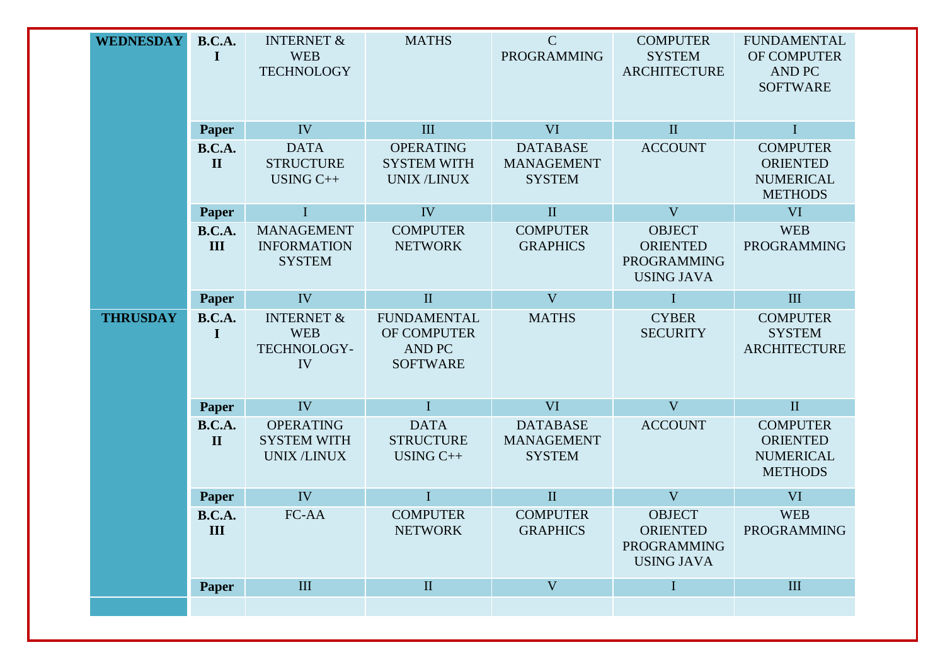|                 |                               | <b>TECHNOLOGY</b>                                           |                                                                       | <b>PROGRAMMING</b>                                    | <b>SYSTEM</b><br><b>ARCHITECTURE</b>                                        | OF COMPUTER<br><b>AND PC</b><br><b>SOFTWARE</b>                          |
|-----------------|-------------------------------|-------------------------------------------------------------|-----------------------------------------------------------------------|-------------------------------------------------------|-----------------------------------------------------------------------------|--------------------------------------------------------------------------|
|                 | Paper                         | IV                                                          | III                                                                   | VI                                                    | $\mathbf{I}$                                                                | $\mathbf I$                                                              |
|                 | <b>B.C.A.</b><br>$\mathbf{I}$ | <b>DATA</b><br><b>STRUCTURE</b><br>USING C++                | <b>OPERATING</b><br><b>SYSTEM WITH</b><br><b>UNIX/LINUX</b>           | <b>DATABASE</b><br><b>MANAGEMENT</b><br><b>SYSTEM</b> | <b>ACCOUNT</b>                                                              | <b>COMPUTER</b><br><b>ORIENTED</b><br><b>NUMERICAL</b><br><b>METHODS</b> |
|                 | Paper                         | $\mathbf I$                                                 | IV                                                                    | $\mathbf{I}$                                          | V                                                                           | <b>VI</b>                                                                |
|                 | <b>B.C.A.</b><br>III          | <b>MANAGEMENT</b><br><b>INFORMATION</b><br><b>SYSTEM</b>    | <b>COMPUTER</b><br><b>NETWORK</b>                                     | <b>COMPUTER</b><br><b>GRAPHICS</b>                    | <b>OBJECT</b><br><b>ORIENTED</b><br><b>PROGRAMMING</b><br><b>USING JAVA</b> | <b>WEB</b><br>PROGRAMMING                                                |
|                 | Paper                         | IV                                                          | $\mathbf{I}$                                                          | V                                                     | I                                                                           | III                                                                      |
| <b>THRUSDAY</b> | <b>B.C.A.</b><br>I            | <b>INTERNET &amp;</b><br><b>WEB</b><br>TECHNOLOGY-<br>IV    | <b>FUNDAMENTAL</b><br>OF COMPUTER<br><b>AND PC</b><br><b>SOFTWARE</b> | <b>MATHS</b>                                          | <b>CYBER</b><br><b>SECURITY</b>                                             | <b>COMPUTER</b><br><b>SYSTEM</b><br><b>ARCHITECTURE</b>                  |
|                 | Paper                         | IV                                                          | $\mathbf I$                                                           | <b>VI</b>                                             | V                                                                           | $\rm II$                                                                 |
|                 | <b>B.C.A.</b><br>$\mathbf{I}$ | <b>OPERATING</b><br><b>SYSTEM WITH</b><br><b>UNIX/LINUX</b> | <b>DATA</b><br><b>STRUCTURE</b><br>$USING C++$                        | <b>DATABASE</b><br><b>MANAGEMENT</b><br><b>SYSTEM</b> | <b>ACCOUNT</b>                                                              | <b>COMPUTER</b><br><b>ORIENTED</b><br><b>NUMERICAL</b><br><b>METHODS</b> |
|                 | <b>Paper</b>                  | IV                                                          | $\mathbf I$                                                           | $\;$ II                                               | V                                                                           | <b>VI</b>                                                                |
|                 | <b>B.C.A.</b><br>III          | FC-AA                                                       | <b>COMPUTER</b><br><b>NETWORK</b>                                     | <b>COMPUTER</b><br><b>GRAPHICS</b>                    | <b>OBJECT</b><br><b>ORIENTED</b><br><b>PROGRAMMING</b><br><b>USING JAVA</b> | <b>WEB</b><br>PROGRAMMING                                                |
|                 | <b>Paper</b>                  | $\rm III$                                                   | $\rm II$                                                              | V                                                     | $\bf{I}$                                                                    | $\rm III$                                                                |